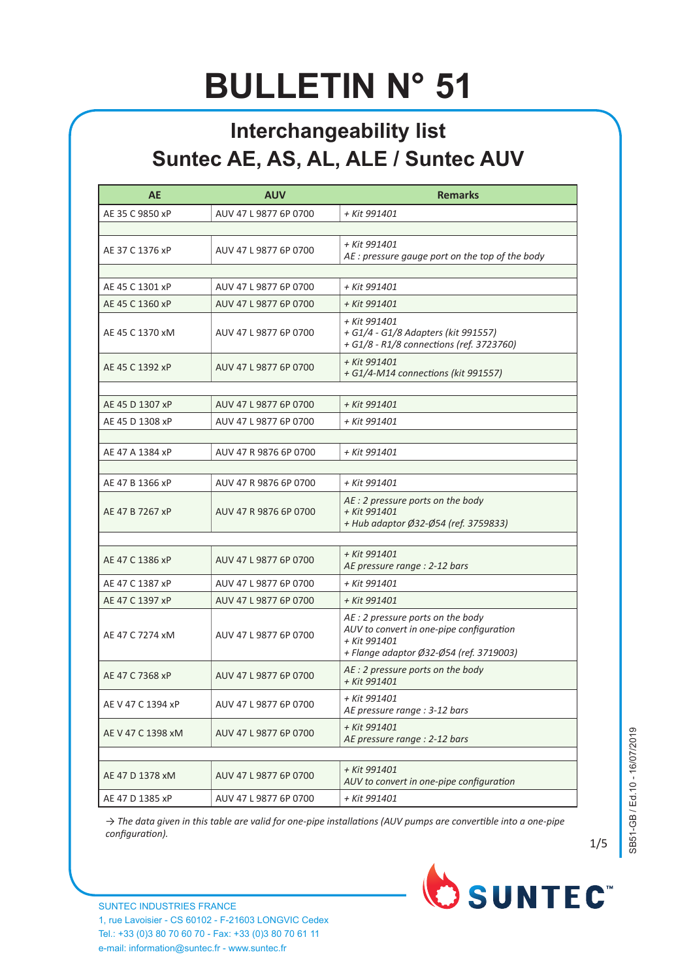## **BULLETIN N° 51**

## **Interchangeability list Suntec AE, AS, AL, ALE / Suntec AUV**

| <b>AE</b>         | <b>AUV</b>            | <b>Remarks</b>                                                                                                                           |
|-------------------|-----------------------|------------------------------------------------------------------------------------------------------------------------------------------|
| AE 35 C 9850 xP   | AUV 47 L 9877 6P 0700 | + Kit 991401                                                                                                                             |
|                   |                       |                                                                                                                                          |
| AE 37 C 1376 xP   | AUV 47 L 9877 6P 0700 | + Kit 991401<br>AE : pressure gauge port on the top of the body                                                                          |
|                   |                       |                                                                                                                                          |
| AE 45 C 1301 xP   | AUV 47 L 9877 6P 0700 | + Kit 991401                                                                                                                             |
| AE 45 C 1360 xP   | AUV 47 L 9877 6P 0700 | + Kit 991401                                                                                                                             |
| AE 45 C 1370 xM   | AUV 47 L 9877 6P 0700 | + Kit 991401<br>+ G1/4 - G1/8 Adapters (kit 991557)<br>+ G1/8 - R1/8 connections (ref. 3723760)                                          |
| AE 45 C 1392 xP   | AUV 47 L 9877 6P 0700 | + Kit 991401<br>+ G1/4-M14 connections (kit 991557)                                                                                      |
| AE 45 D 1307 xP   | AUV 47 L 9877 6P 0700 | + Kit 991401                                                                                                                             |
| AE 45 D 1308 xP   | AUV 47 L 9877 6P 0700 | + Kit 991401                                                                                                                             |
|                   |                       |                                                                                                                                          |
| AE 47 A 1384 xP   | AUV 47 R 9876 6P 0700 | + Kit 991401                                                                                                                             |
| AE 47 B 1366 xP   | AUV 47 R 9876 6P 0700 | + Kit 991401                                                                                                                             |
| AE 47 B 7267 xP   | AUV 47 R 9876 6P 0700 | AE : 2 pressure ports on the body<br>+ Kit 991401<br>+ Hub adaptor Ø32-Ø54 (ref. 3759833)                                                |
|                   |                       |                                                                                                                                          |
| AE 47 C 1386 xP   | AUV 47 L 9877 6P 0700 | + Kit 991401<br>AE pressure range : 2-12 bars                                                                                            |
| AE 47 C 1387 xP   | AUV 47 L 9877 6P 0700 | + Kit 991401                                                                                                                             |
| AE 47 C 1397 xP   | AUV 47 L 9877 6P 0700 | + Kit 991401                                                                                                                             |
| AE 47 C 7274 xM   | AUV 47 L 9877 6P 0700 | AE : 2 pressure ports on the body<br>AUV to convert in one-pipe configuration<br>+ Kit 991401<br>+ Flange adaptor Ø32-Ø54 (ref. 3719003) |
| AE 47 C 7368 xP   | AUV 47 L 9877 6P 0700 | AE : 2 pressure ports on the body<br>+ Kit 991401                                                                                        |
| AE V 47 C 1394 xP | AUV 47 L 9877 6P 0700 | + Kit 991401<br>AE pressure range : 3-12 bars                                                                                            |
| AE V 47 C 1398 xM | AUV 47 L 9877 6P 0700 | + Kit 991401<br>AE pressure range : 2-12 bars                                                                                            |
|                   |                       |                                                                                                                                          |
| AE 47 D 1378 xM   | AUV 47 L 9877 6P 0700 | + Kit 991401<br>AUV to convert in one-pipe configuration                                                                                 |
| AE 47 D 1385 xP   | AUV 47 L 9877 6P 0700 | + Kit 991401                                                                                                                             |

*→ The data given in this table are valid for one-pipe installations (AUV pumps are convertible into a one-pipe configuration).*

SB51-GB / Ed.10 - 16/07/2019 SB51-GB / Ed.10 - 16/07/2019

1/5

SUNTEC INDUSTRIES FRANCE 1, rue Lavoisier - CS 60102 - F-21603 LONGVIC Cedex Tel.: +33 (0)3 80 70 60 70 - Fax: +33 (0)3 80 70 61 11 e-mail: information@suntec.fr - www.suntec.fr

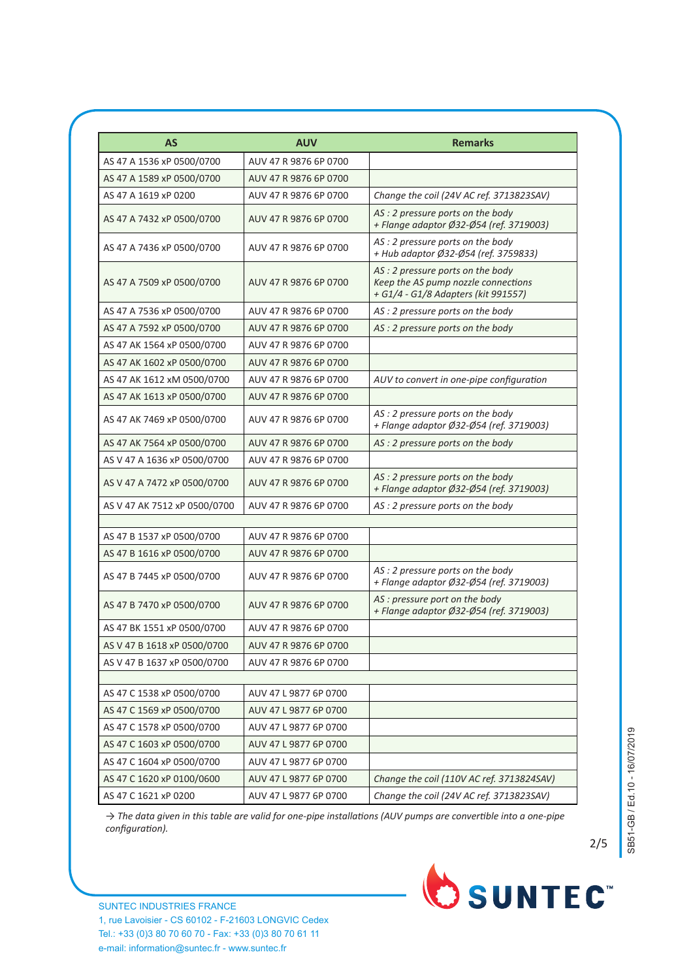| <b>AS</b>                    | <b>AUV</b>            | <b>Remarks</b>                                                                                                 |
|------------------------------|-----------------------|----------------------------------------------------------------------------------------------------------------|
| AS 47 A 1536 xP 0500/0700    | AUV 47 R 9876 6P 0700 |                                                                                                                |
| AS 47 A 1589 xP 0500/0700    | AUV 47 R 9876 6P 0700 |                                                                                                                |
| AS 47 A 1619 xP 0200         | AUV 47 R 9876 6P 0700 | Change the coil (24V AC ref. 3713823SAV)                                                                       |
| AS 47 A 7432 xP 0500/0700    | AUV 47 R 9876 6P 0700 | AS: 2 pressure ports on the body<br>+ Flange adaptor Ø32-Ø54 (ref. 3719003)                                    |
| AS 47 A 7436 xP 0500/0700    | AUV 47 R 9876 6P 0700 | AS: 2 pressure ports on the body<br>+ Hub adaptor Ø32-Ø54 (ref. 3759833)                                       |
| AS 47 A 7509 xP 0500/0700    | AUV 47 R 9876 6P 0700 | AS: 2 pressure ports on the body<br>Keep the AS pump nozzle connections<br>+ G1/4 - G1/8 Adapters (kit 991557) |
| AS 47 A 7536 xP 0500/0700    | AUV 47 R 9876 6P 0700 | AS: 2 pressure ports on the body                                                                               |
| AS 47 A 7592 xP 0500/0700    | AUV 47 R 9876 6P 0700 | AS : 2 pressure ports on the body                                                                              |
| AS 47 AK 1564 xP 0500/0700   | AUV 47 R 9876 6P 0700 |                                                                                                                |
| AS 47 AK 1602 xP 0500/0700   | AUV 47 R 9876 6P 0700 |                                                                                                                |
| AS 47 AK 1612 xM 0500/0700   | AUV 47 R 9876 6P 0700 | AUV to convert in one-pipe configuration                                                                       |
| AS 47 AK 1613 xP 0500/0700   | AUV 47 R 9876 6P 0700 |                                                                                                                |
| AS 47 AK 7469 xP 0500/0700   | AUV 47 R 9876 6P 0700 | AS : 2 pressure ports on the body<br>+ Flange adaptor Ø32-Ø54 (ref. 3719003)                                   |
| AS 47 AK 7564 xP 0500/0700   | AUV 47 R 9876 6P 0700 | AS : 2 pressure ports on the body                                                                              |
| AS V 47 A 1636 xP 0500/0700  | AUV 47 R 9876 6P 0700 |                                                                                                                |
| AS V 47 A 7472 xP 0500/0700  | AUV 47 R 9876 6P 0700 | AS : 2 pressure ports on the body<br>+ Flange adaptor Ø32-Ø54 (ref. 3719003)                                   |
| AS V 47 AK 7512 xP 0500/0700 | AUV 47 R 9876 6P 0700 | AS : 2 pressure ports on the body                                                                              |
|                              |                       |                                                                                                                |
| AS 47 B 1537 xP 0500/0700    | AUV 47 R 9876 6P 0700 |                                                                                                                |
| AS 47 B 1616 xP 0500/0700    | AUV 47 R 9876 6P 0700 |                                                                                                                |
| AS 47 B 7445 xP 0500/0700    | AUV 47 R 9876 6P 0700 | AS: 2 pressure ports on the body<br>+ Flange adaptor Ø32-Ø54 (ref. 3719003)                                    |
| AS 47 B 7470 xP 0500/0700    | AUV 47 R 9876 6P 0700 | AS : pressure port on the body<br>+ Flange adaptor Ø32-Ø54 (ref. 3719003)                                      |
| AS 47 BK 1551 xP 0500/0700   | AUV 47 R 9876 6P 0700 |                                                                                                                |
| AS V 47 B 1618 xP 0500/0700  | AUV 47 R 9876 6P 0700 |                                                                                                                |
| AS V 47 B 1637 xP 0500/0700  | AUV 47 R 9876 6P 0700 |                                                                                                                |
|                              |                       |                                                                                                                |
| AS 47 C 1538 xP 0500/0700    | AUV 47 L 9877 6P 0700 |                                                                                                                |
| AS 47 C 1569 xP 0500/0700    | AUV 47 L 9877 6P 0700 |                                                                                                                |
| AS 47 C 1578 xP 0500/0700    | AUV 47 L 9877 6P 0700 |                                                                                                                |
| AS 47 C 1603 xP 0500/0700    | AUV 47 L 9877 6P 0700 |                                                                                                                |
| AS 47 C 1604 xP 0500/0700    | AUV 47 L 9877 6P 0700 |                                                                                                                |
| AS 47 C 1620 xP 0100/0600    | AUV 47 L 9877 6P 0700 | Change the coil (110V AC ref. 3713824SAV)                                                                      |
| AS 47 C 1621 xP 0200         | AUV 47 L 9877 6P 0700 | Change the coil (24V AC ref. 3713823SAV)                                                                       |

*→ The data given in this table are valid for one-pipe installations (AUV pumps are convertible into a one-pipe configuration).*

2/5

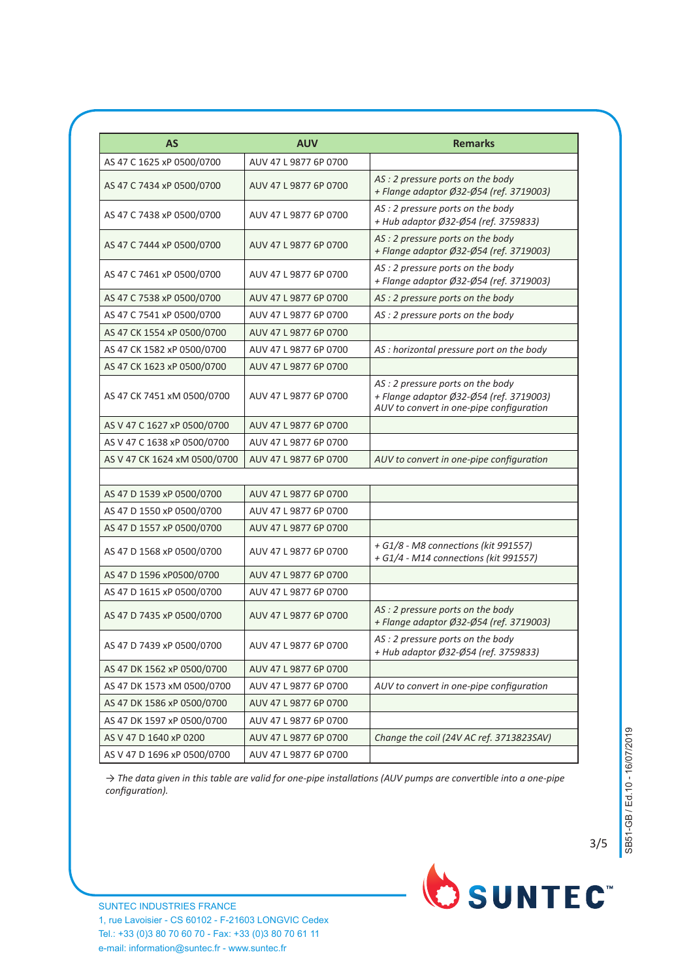| <b>AS</b>                    | <b>AUV</b>            | <b>Remarks</b>                                                                                                          |
|------------------------------|-----------------------|-------------------------------------------------------------------------------------------------------------------------|
| AS 47 C 1625 xP 0500/0700    | AUV 47 L 9877 6P 0700 |                                                                                                                         |
| AS 47 C 7434 xP 0500/0700    | AUV 47 L 9877 6P 0700 | AS : 2 pressure ports on the body<br>+ Flange adaptor Ø32-Ø54 (ref. 3719003)                                            |
| AS 47 C 7438 xP 0500/0700    | AUV 47 L 9877 6P 0700 | AS : 2 pressure ports on the body<br>+ Hub adaptor Ø32-Ø54 (ref. 3759833)                                               |
| AS 47 C 7444 xP 0500/0700    | AUV 47 L 9877 6P 0700 | AS : 2 pressure ports on the body<br>+ Flange adaptor Ø32-Ø54 (ref. 3719003)                                            |
| AS 47 C 7461 xP 0500/0700    | AUV 47 L 9877 6P 0700 | AS : 2 pressure ports on the body<br>+ Flange adaptor Ø32-Ø54 (ref. 3719003)                                            |
| AS 47 C 7538 xP 0500/0700    | AUV 47 L 9877 6P 0700 | AS : 2 pressure ports on the body                                                                                       |
| AS 47 C 7541 xP 0500/0700    | AUV 47 L 9877 6P 0700 | AS : 2 pressure ports on the body                                                                                       |
| AS 47 CK 1554 xP 0500/0700   | AUV 47 L 9877 6P 0700 |                                                                                                                         |
| AS 47 CK 1582 xP 0500/0700   | AUV 47 L 9877 6P 0700 | AS : horizontal pressure port on the body                                                                               |
| AS 47 CK 1623 xP 0500/0700   | AUV 47 L 9877 6P 0700 |                                                                                                                         |
| AS 47 CK 7451 xM 0500/0700   | AUV 47 L 9877 6P 0700 | AS: 2 pressure ports on the body<br>+ Flange adaptor Ø32-Ø54 (ref. 3719003)<br>AUV to convert in one-pipe configuration |
| AS V 47 C 1627 xP 0500/0700  | AUV 47 L 9877 6P 0700 |                                                                                                                         |
| AS V 47 C 1638 xP 0500/0700  | AUV 47 L 9877 6P 0700 |                                                                                                                         |
| AS V 47 CK 1624 xM 0500/0700 | AUV 47 L 9877 6P 0700 | AUV to convert in one-pipe configuration                                                                                |
| AS 47 D 1539 xP 0500/0700    | AUV 47 L 9877 6P 0700 |                                                                                                                         |
| AS 47 D 1550 xP 0500/0700    | AUV 47 L 9877 6P 0700 |                                                                                                                         |
| AS 47 D 1557 xP 0500/0700    | AUV 47 L 9877 6P 0700 |                                                                                                                         |
| AS 47 D 1568 xP 0500/0700    | AUV 47 L 9877 6P 0700 | + G1/8 - M8 connections (kit 991557)<br>+ G1/4 - M14 connections (kit 991557)                                           |
| AS 47 D 1596 xP0500/0700     | AUV 47 L 9877 6P 0700 |                                                                                                                         |
| AS 47 D 1615 xP 0500/0700    | AUV 47 L 9877 6P 0700 |                                                                                                                         |
| AS 47 D 7435 xP 0500/0700    | AUV 47 L 9877 6P 0700 | AS : 2 pressure ports on the body<br>+ Flange adaptor Ø32-Ø54 (ref. 3719003)                                            |
| AS 47 D 7439 xP 0500/0700    | AUV 47 L 9877 6P 0700 | AS : 2 pressure ports on the body<br>+ Hub adaptor Ø32-Ø54 (ref. 3759833)                                               |
| AS 47 DK 1562 xP 0500/0700   | AUV 47 L 9877 6P 0700 |                                                                                                                         |
| AS 47 DK 1573 xM 0500/0700   | AUV 47 L 9877 6P 0700 | AUV to convert in one-pipe configuration                                                                                |
| AS 47 DK 1586 xP 0500/0700   | AUV 47 L 9877 6P 0700 |                                                                                                                         |
| AS 47 DK 1597 xP 0500/0700   | AUV 47 L 9877 6P 0700 |                                                                                                                         |
| AS V 47 D 1640 xP 0200       | AUV 47 L 9877 6P 0700 | Change the coil (24V AC ref. 3713823SAV)                                                                                |
| AS V 47 D 1696 xP 0500/0700  | AUV 47 L 9877 6P 0700 |                                                                                                                         |

*→ The data given in this table are valid for one-pipe installations (AUV pumps are convertible into a one-pipe configuration).*



3/5

SUNTEC INDUSTRIES FRANCE 1, rue Lavoisier - CS 60102 - F-21603 LONGVIC Cedex Tel.: +33 (0)3 80 70 60 70 - Fax: +33 (0)3 80 70 61 11 e-mail: information@suntec.fr - www.suntec.fr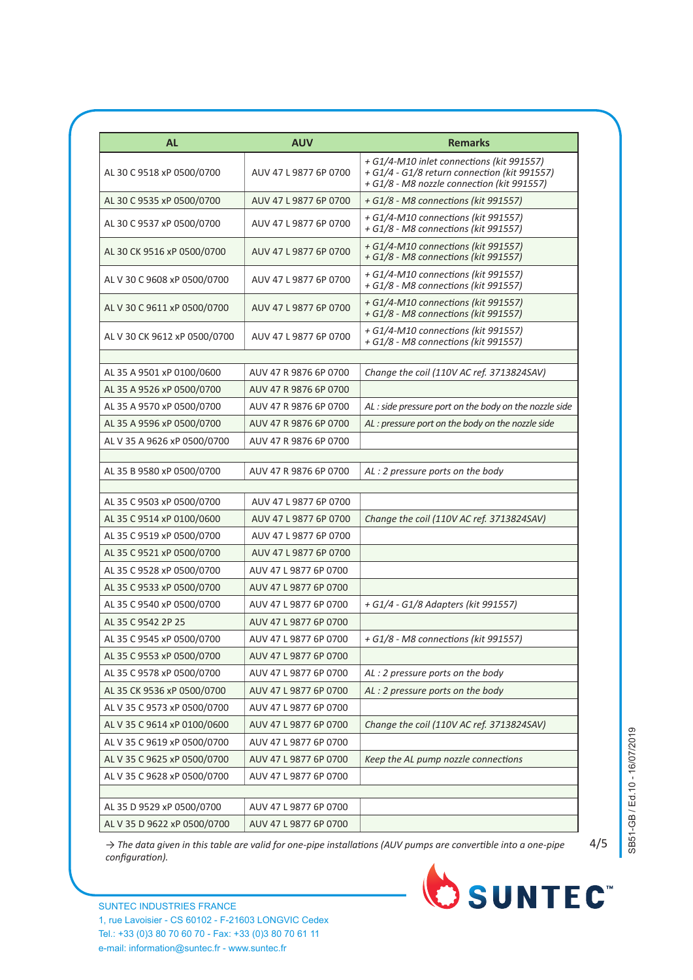| <b>AL</b>                    | <b>AUV</b>            | <b>Remarks</b>                                                                                                                          |
|------------------------------|-----------------------|-----------------------------------------------------------------------------------------------------------------------------------------|
| AL 30 C 9518 xP 0500/0700    | AUV 47 L 9877 6P 0700 | + G1/4-M10 inlet connections (kit 991557)<br>+ G1/4 - G1/8 return connection (kit 991557)<br>+ G1/8 - M8 nozzle connection (kit 991557) |
| AL 30 C 9535 xP 0500/0700    | AUV 47 L 9877 6P 0700 | + G1/8 - M8 connections (kit 991557)                                                                                                    |
| AL 30 C 9537 xP 0500/0700    | AUV 47 L 9877 6P 0700 | + G1/4-M10 connections (kit 991557)<br>+ G1/8 - M8 connections (kit 991557)                                                             |
| AL 30 CK 9516 xP 0500/0700   | AUV 47 L 9877 6P 0700 | + G1/4-M10 connections (kit 991557)<br>+ G1/8 - M8 connections (kit 991557)                                                             |
| AL V 30 C 9608 xP 0500/0700  | AUV 47 L 9877 6P 0700 | + G1/4-M10 connections (kit 991557)<br>+ G1/8 - M8 connections (kit 991557)                                                             |
| AL V 30 C 9611 xP 0500/0700  | AUV 47 L 9877 6P 0700 | + G1/4-M10 connections (kit 991557)<br>+ G1/8 - M8 connections (kit 991557)                                                             |
| AL V 30 CK 9612 xP 0500/0700 | AUV 47 L 9877 6P 0700 | + G1/4-M10 connections (kit 991557)<br>+ G1/8 - M8 connections (kit 991557)                                                             |
| AL 35 A 9501 xP 0100/0600    |                       |                                                                                                                                         |
|                              | AUV 47 R 9876 6P 0700 | Change the coil (110V AC ref. 3713824SAV)                                                                                               |
| AL 35 A 9526 xP 0500/0700    | AUV 47 R 9876 6P 0700 |                                                                                                                                         |
| AL 35 A 9570 xP 0500/0700    | AUV 47 R 9876 6P 0700 | AL: side pressure port on the body on the nozzle side                                                                                   |
| AL 35 A 9596 xP 0500/0700    | AUV 47 R 9876 6P 0700 | AL: pressure port on the body on the nozzle side                                                                                        |
| AL V 35 A 9626 xP 0500/0700  | AUV 47 R 9876 6P 0700 |                                                                                                                                         |
| AL 35 B 9580 xP 0500/0700    | AUV 47 R 9876 6P 0700 | AL: 2 pressure ports on the body                                                                                                        |
| AL 35 C 9503 xP 0500/0700    | AUV 47 L 9877 6P 0700 |                                                                                                                                         |
| AL 35 C 9514 xP 0100/0600    | AUV 47 L 9877 6P 0700 | Change the coil (110V AC ref. 3713824SAV)                                                                                               |
| AL 35 C 9519 xP 0500/0700    | AUV 47 L 9877 6P 0700 |                                                                                                                                         |
| AL 35 C 9521 xP 0500/0700    | AUV 47 L 9877 6P 0700 |                                                                                                                                         |
| AL 35 C 9528 xP 0500/0700    | AUV 47 L 9877 6P 0700 |                                                                                                                                         |
| AL 35 C 9533 xP 0500/0700    | AUV 47 L 9877 6P 0700 |                                                                                                                                         |
| AL 35 C 9540 xP 0500/0700    | AUV 47 L 9877 6P 0700 | + G1/4 - G1/8 Adapters (kit 991557)                                                                                                     |
| AL 35 C 9542 2P 25           | AUV 47 L 9877 6P 0700 |                                                                                                                                         |
| AL 35 C 9545 xP 0500/0700    | AUV 47 L 9877 6P 0700 | + G1/8 - M8 connections (kit 991557)                                                                                                    |
| AL 35 C 9553 xP 0500/0700    | AUV 47 L 9877 6P 0700 |                                                                                                                                         |
| AL 35 C 9578 xP 0500/0700    | AUV 47 L 9877 6P 0700 | AL: 2 pressure ports on the body                                                                                                        |
| AL 35 CK 9536 xP 0500/0700   | AUV 47 L 9877 6P 0700 | AL: 2 pressure ports on the body                                                                                                        |
| AL V 35 C 9573 xP 0500/0700  | AUV 47 L 9877 6P 0700 |                                                                                                                                         |
| AL V 35 C 9614 xP 0100/0600  | AUV 47 L 9877 6P 0700 | Change the coil (110V AC ref. 3713824SAV)                                                                                               |
| AL V 35 C 9619 xP 0500/0700  | AUV 47 L 9877 6P 0700 |                                                                                                                                         |
| AL V 35 C 9625 xP 0500/0700  | AUV 47 L 9877 6P 0700 | Keep the AL pump nozzle connections                                                                                                     |
| AL V 35 C 9628 xP 0500/0700  | AUV 47 L 9877 6P 0700 |                                                                                                                                         |
|                              |                       |                                                                                                                                         |
| AL 35 D 9529 xP 0500/0700    | AUV 47 L 9877 6P 0700 |                                                                                                                                         |
| AL V 35 D 9622 xP 0500/0700  | AUV 47 L 9877 6P 0700 |                                                                                                                                         |

4/5

*→ The data given in this table are valid for one-pipe installations (AUV pumps are convertible into a one-pipe configuration).*